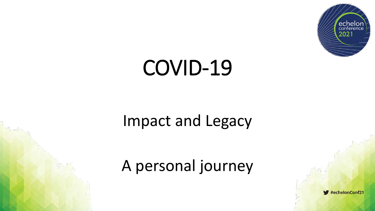

# COVID-19

#### Impact and Legacy

#### A personal journey

#echelonConf21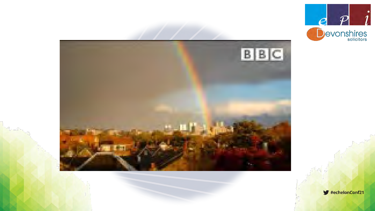



 $\blacktriangleright$  #echelonConf21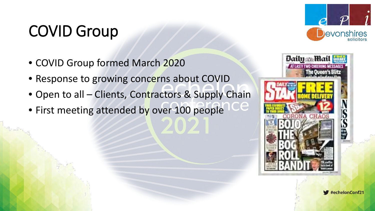#### COVID Group

- COVID Group formed March 2020
- Response to growing concerns about COVID
- Open to all Clients, Contractors & Supply Chain
- First meeting attended by over 100 people



се



#echelonConf21

evonshires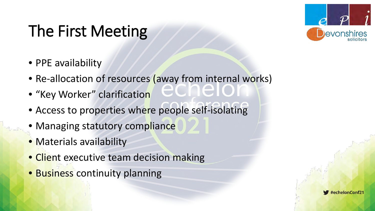# The First Meeting

- PPE availability
- Re-allocation of resources (away from internal works)
- "Key Worker" clarification
- Access to properties where people self-isolating
- Managing statutory compliance
- Materials availability
- Client executive team decision making
- Business continuity planning



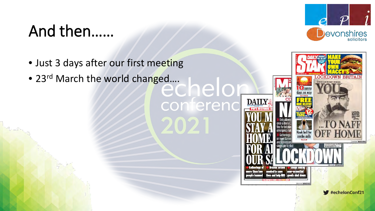#### And then……



- Just 3 days after our first meeting
- 23rd March the world changed....

conferenc

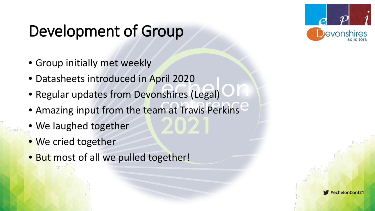# Development of Group



- Group initially met weekly
- Datasheets introduced in April 2020
- Regular updates from Devonshires (Legal)
- Amazing input from the team at Travis Perkins
- We laughed together
- We cried together
- But most of all we pulled together!

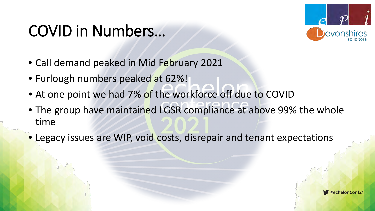#### COVID in Numbers…



- Call demand peaked in Mid February 2021
- Furlough numbers peaked at 62%!
- At one point we had 7% of the workforce off due to COVID
- The group have maintained LGSR compliance at above 99% the whole time
- Legacy issues are WIP, void costs, disrepair and tenant expectations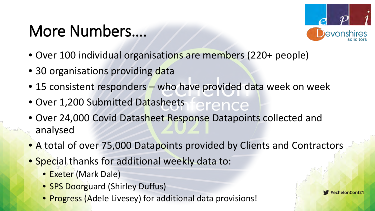#### More Numbers….



- Over 100 individual organisations are members (220+ people)
- 30 organisations providing data
- 15 consistent responders who have provided data week on week
- Over 1,200 Submitted Datasheets erence
- Over 24,000 Covid Datasheet Response Datapoints collected and analysed
- A total of over 75,000 Datapoints provided by Clients and Contractors
- Special thanks for additional weekly data to:
	- Exeter (Mark Dale)
	- **SPS Doorguard (Shirley Duffus)**
	- Progress (Adele Livesey) for additional data provisions!

 $\blacktriangleright$ #echelonConf21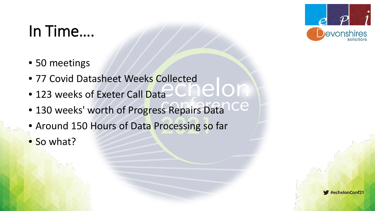

# In Time….

- 50 meetings
- 77 Covid Datasheet Weeks Collected<br>• 123 weeks of Exeter Call Data
- 123 weeks of Exeter Call Data
- 130 weeks' worth of Progress Repairs Data
- Around 150 Hours of Data Processing so far
- So what?

#echelonConf21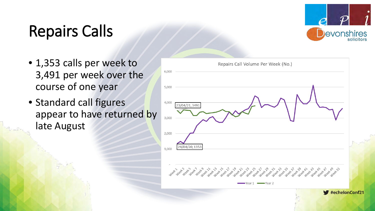# Repairs Calls



- 1,353 calls per week to 3,491 per week over the course of one year
- Standard call figures appear to have returned by late August

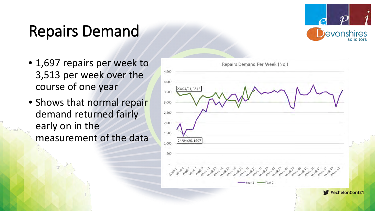#### Repairs Demand

- 1,697 repairs per week to 3,513 per week over the course of one year
- Shows that normal repair demand returned fairly early on in the measurement of the data



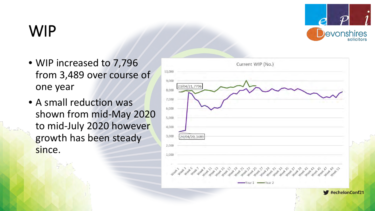

## WIP

- WIP increased to 7,796 from 3,489 over course of one year
- A small reduction was shown from mid-May 2020 to mid-July 2020 however growth has been steady since.

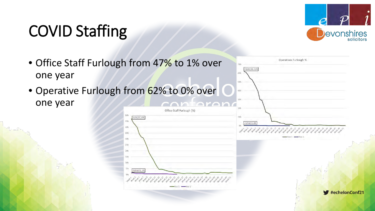## COVID Staffing



• Office Staff Furlough from 47% to 1% over Operatives Furlough % 24/04/20, 62% one year 60% 50% • Operative Furlough from 62% to 0% over 40% one yearAntarand Office Staff Furlough (%) 5.CFG 1/04/20.47%  $0.596$ 23/04/21.09  $40%$ 35% 30%  $208$ 15%  $10417$ #echelonConf21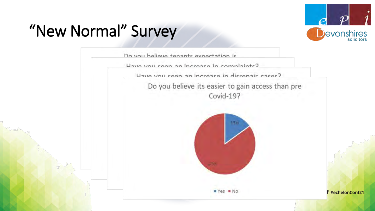

#echelonConf21

# "New Normal" Survey

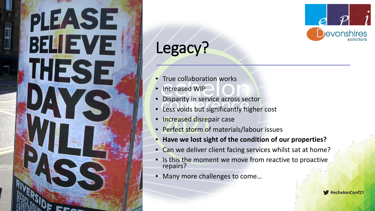# PIEASE BELLEVE ' '



# Legacy?

- True collaboration works
- Increased WIP
- Disparity in service across sector
- Less voids but significantly higher cost
- Increased disrepair case
- Perfect storm of materials/labour issues
- **Have we lost sight of the condition of our properties?**
- Can we deliver client facing services whilst sat at home?
- Is this the moment we move from reactive to proactive. repairs?
- Many more challenges to come…

#echelonConf21